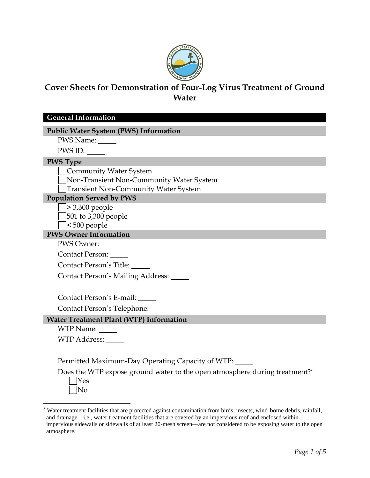

# **Cover Sheets for Demonstration of Four-Log Virus Treatment of Ground Water**

**General Information**

#### **Public Water System (PWS) Information**

PWS Name:

PWS ID:

#### **PWS Type**

Community Water System

Non-Transient Non-Community Water System

Transient Non-Community Water System

### **Population Served by PWS**

> 3,300 people

501 to 3,300 people

< 500 people

#### **PWS Owner Information**

PWS Owner:

Contact Person:

Contact Person's Title:

Contact Person's Mailing Address:

Contact Person's E-mail:

Contact Person's Telephone:

#### **Water Treatment Plant (WTP) Information**

WTP Name: WTP Address:

Permitted Maximum-Day Operating Capacity of WTP:

Does the WTP expose ground water to the open atmosphere during treatment?\*

Yes No

<sup>\*</sup> Water treatment facilities that are protected against contamination from birds, insects, wind-borne debris, rainfall, and drainage—i.e., water treatment facilities that are covered by an impervious roof and enclosed within impervious sidewalls or sidewalls of at least 20-mesh screen—are not considered to be exposing water to the open atmosphere.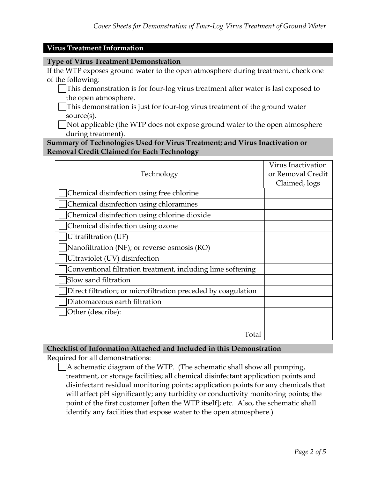#### **Virus Treatment Information**

#### **Type of Virus Treatment Demonstration**

If the WTP exposes ground water to the open atmosphere during treatment, check one of the following:

- This demonstration is for four-log virus treatment after water is last exposed to the open atmosphere.
- This demonstration is just for four-log virus treatment of the ground water source(s).

Not applicable (the WTP does not expose ground water to the open atmosphere during treatment).

#### **Summary of Technologies Used for Virus Treatment; and Virus Inactivation or Removal Credit Claimed for Each Technology**

| Technology                                                    | Virus Inactivation<br>or Removal Credit<br>Claimed, logs |
|---------------------------------------------------------------|----------------------------------------------------------|
| Chemical disinfection using free chlorine                     |                                                          |
| Chemical disinfection using chloramines                       |                                                          |
| Chemical disinfection using chlorine dioxide                  |                                                          |
| Chemical disinfection using ozone                             |                                                          |
| Ultrafiltration (UF)                                          |                                                          |
| Nanofiltration (NF); or reverse osmosis (RO)                  |                                                          |
| Ultraviolet (UV) disinfection                                 |                                                          |
| Conventional filtration treatment, including lime softening   |                                                          |
| Slow sand filtration                                          |                                                          |
| Direct filtration; or microfiltration preceded by coagulation |                                                          |
| Diatomaceous earth filtration                                 |                                                          |
| Other (describe):                                             |                                                          |
|                                                               |                                                          |
| Total                                                         |                                                          |

#### **Checklist of Information Attached and Included in this Demonstration**

Required for all demonstrations:

A schematic diagram of the WTP. (The schematic shall show all pumping, treatment, or storage facilities; all chemical disinfectant application points and disinfectant residual monitoring points; application points for any chemicals that will affect pH significantly; any turbidity or conductivity monitoring points; the point of the first customer [often the WTP itself]; etc. Also, the schematic shall identify any facilities that expose water to the open atmosphere.)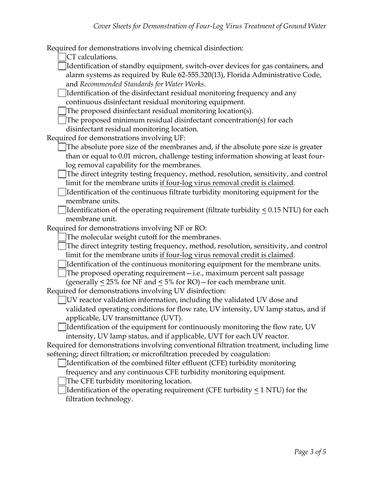Required for demonstrations involving chemical disinfection:

CT calculations.

Identification of standby equipment, switch-over devices for gas containers, and alarm systems as required by Rule 62-555.320(13), Florida Administrative Code, and *Recommended Standards for Water Works*.

Identification of the disinfectant residual monitoring frequency and any continuous disinfectant residual monitoring equipment.

The proposed disinfectant residual monitoring location(s).

The proposed minimum residual disinfectant concentration(s) for each

disinfectant residual monitoring location.

Required for demonstrations involving UF:

The absolute pore size of the membranes and, if the absolute pore size is greater than or equal to 0.01 micron, challenge testing information showing at least fourlog removal capability for the membranes.

The direct integrity testing frequency, method, resolution, sensitivity, and control limit for the membrane units if four-log virus removal credit is claimed.

Identification of the continuous filtrate turbidity monitoring equipment for the membrane units.

Identification of the operating requirement (filtrate turbidity < 0.15 NTU) for each membrane unit.

Required for demonstrations involving NF or RO:

The molecular weight cutoff for the membranes.

The direct integrity testing frequency, method, resolution, sensitivity, and control limit for the membrane units if four-log virus removal credit is claimed.

Identification of the continuous monitoring equipment for the membrane units.

The proposed operating requirement—i.e., maximum percent salt passage

(generally < 25% for NF and < 5% for RO)—for each membrane unit.

Required for demonstrations involving UV disinfection:

UV reactor validation information, including the validated UV dose and validated operating conditions for flow rate, UV intensity, UV lamp status, and if applicable, UV transmittance (UVT).

Identification of the equipment for continuously monitoring the flow rate, UV intensity, UV lamp status, and if applicable, UVT for each UV reactor.

Required for demonstrations involving conventional filtration treatment, including lime softening; direct filtration; or microfiltration preceded by coagulation:

Identification of the combined filter effluent (CFE) turbidity monitoring

frequency and any continuous CFE turbidity monitoring equipment.

The CFE turbidity monitoring location.

Identification of the operating requirement (CFE turbidity < 1 NTU) for the filtration technology.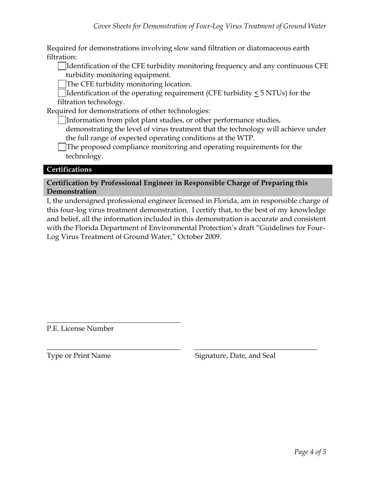Required for demonstrations involving slow sand filtration or diatomaceous earth filtration:

Identification of the CFE turbidity monitoring frequency and any continuous CFE turbidity monitoring equipment.

The CFE turbidity monitoring location.

Identification of the operating requirement (CFE turbidity < 5 NTUs) for the filtration technology.

Required for demonstrations of other technologies:

Information from pilot plant studies, or other performance studies,

demonstrating the level of virus treatment that the technology will achieve under the full range of expected operating conditions at the WTP.

The proposed compliance monitoring and operating requirements for the technology.

# **Certifications**

**Certification by Professional Engineer in Responsible Charge of Preparing this Demonstration**

I, the undersigned professional engineer licensed in Florida, am in responsible charge of this four-log virus treatment demonstration. I certify that, to the best of my knowledge and belief, all the information included in this demonstration is accurate and consistent with the Florida Department of Environmental Protection's draft "Guidelines for Four-Log Virus Treatment of Ground Water," October 2009.

\_\_\_\_\_\_\_\_\_\_\_\_\_\_\_\_\_\_\_\_\_\_\_\_\_\_\_\_\_\_\_\_\_\_\_\_\_ \_\_\_\_\_\_\_\_\_\_\_\_\_\_\_\_\_\_\_\_\_\_\_\_\_\_\_\_\_\_\_\_\_\_

P.E. License Number

\_\_\_\_\_\_\_\_\_\_\_\_\_\_\_\_\_\_\_\_\_\_\_\_\_\_\_\_\_\_\_\_\_\_\_\_\_

Type or Print Name Signature, Date, and Seal